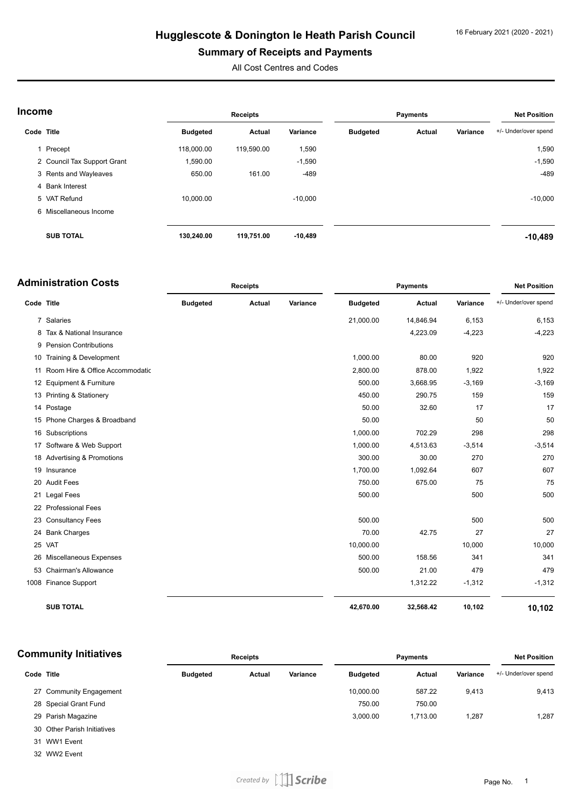#### 16 February 2021 (2020 - 2021)

# **Hugglescote & Donington le Heath Parish Council**

### **Summary of Receipts and Payments**

All Cost Centres and Codes

| Income     |                             |                 | Receipts   |           | <b>Payments</b> |        | <b>Net Position</b> |                      |
|------------|-----------------------------|-----------------|------------|-----------|-----------------|--------|---------------------|----------------------|
| Code Title |                             | <b>Budgeted</b> | Actual     | Variance  | <b>Budgeted</b> | Actual | Variance            | +/- Under/over spend |
|            | Precept                     | 118,000.00      | 119,590.00 | 1,590     |                 |        |                     | 1,590                |
|            | 2 Council Tax Support Grant | 1,590.00        |            | $-1,590$  |                 |        |                     | $-1,590$             |
|            | 3 Rents and Wayleaves       | 650.00          | 161.00     | $-489$    |                 |        |                     | $-489$               |
|            | 4 Bank Interest             |                 |            |           |                 |        |                     |                      |
|            | 5 VAT Refund                | 10.000.00       |            | $-10.000$ |                 |        |                     | $-10,000$            |
|            | 6 Miscellaneous Income      |                 |            |           |                 |        |                     |                      |
|            | <b>SUB TOTAL</b>            | 130,240.00      | 119,751.00 | $-10,489$ |                 |        |                     | $-10,489$            |

|            | <b>Administration Costs</b>        | <b>Receipts</b> |        |          | <b>Payments</b> |               |          | <b>Net Position</b>  |
|------------|------------------------------------|-----------------|--------|----------|-----------------|---------------|----------|----------------------|
| Code Title |                                    | <b>Budgeted</b> | Actual | Variance | <b>Budgeted</b> | <b>Actual</b> | Variance | +/- Under/over spend |
|            | 7 Salaries                         |                 |        |          | 21,000.00       | 14,846.94     | 6,153    | 6,153                |
| 8          | Tax & National Insurance           |                 |        |          |                 | 4,223.09      | $-4,223$ | $-4,223$             |
|            | 9 Pension Contributions            |                 |        |          |                 |               |          |                      |
|            | 10 Training & Development          |                 |        |          | 1,000.00        | 80.00         | 920      | 920                  |
|            | 11 Room Hire & Office Accommodatic |                 |        |          | 2,800.00        | 878.00        | 1,922    | 1,922                |
|            | 12 Equipment & Furniture           |                 |        |          | 500.00          | 3,668.95      | $-3,169$ | $-3,169$             |
|            | 13 Printing & Stationery           |                 |        |          | 450.00          | 290.75        | 159      | 159                  |
|            | 14 Postage                         |                 |        |          | 50.00           | 32.60         | 17       | 17                   |
|            | 15 Phone Charges & Broadband       |                 |        |          | 50.00           |               | 50       | 50                   |
|            | 16 Subscriptions                   |                 |        |          | 1,000.00        | 702.29        | 298      | 298                  |
|            | 17 Software & Web Support          |                 |        |          | 1,000.00        | 4,513.63      | $-3,514$ | $-3,514$             |
|            | 18 Advertising & Promotions        |                 |        |          | 300.00          | 30.00         | 270      | 270                  |
|            | 19 Insurance                       |                 |        |          | 1,700.00        | 1,092.64      | 607      | 607                  |
|            | 20 Audit Fees                      |                 |        |          | 750.00          | 675.00        | 75       | 75                   |
|            | 21 Legal Fees                      |                 |        |          | 500.00          |               | 500      | 500                  |
|            | 22 Professional Fees               |                 |        |          |                 |               |          |                      |
|            | 23 Consultancy Fees                |                 |        |          | 500.00          |               | 500      | 500                  |
|            | 24 Bank Charges                    |                 |        |          | 70.00           | 42.75         | 27       | 27                   |
|            | 25 VAT                             |                 |        |          | 10,000.00       |               | 10,000   | 10,000               |
|            | 26 Miscellaneous Expenses          |                 |        |          | 500.00          | 158.56        | 341      | 341                  |
|            | 53 Chairman's Allowance            |                 |        |          | 500.00          | 21.00         | 479      | 479                  |
|            | 1008 Finance Support               |                 |        |          |                 | 1,312.22      | $-1,312$ | $-1,312$             |
|            | <b>SUB TOTAL</b>                   |                 |        |          | 42,670.00       | 32,568.42     | 10,102   | 10,102               |

| <b>Community Initiatives</b> |                         |                 | <b>Receipts</b> |          | <b>Payments</b> |          |          | <b>Net Position</b>  |
|------------------------------|-------------------------|-----------------|-----------------|----------|-----------------|----------|----------|----------------------|
| Code Title                   |                         | <b>Budgeted</b> | Actual          | Variance | <b>Budgeted</b> | Actual   | Variance | +/- Under/over spend |
|                              | 27 Community Engagement |                 |                 |          | 10,000.00       | 587.22   | 9.413    | 9,413                |
|                              | 28 Special Grant Fund   |                 |                 |          | 750.00          | 750.00   |          |                      |
|                              | 29 Parish Magazine      |                 |                 |          | 3,000.00        | 1.713.00 | 1,287    | 1,287                |

Other Parish Initiatives

WW1 Event

WW2 Event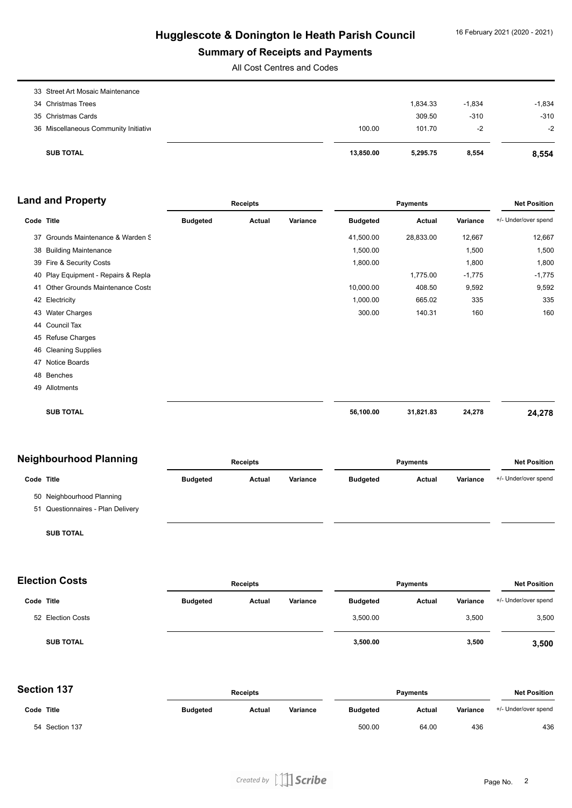### **Summary of Receipts and Payments**

All Cost Centres and Codes

| <b>SUB TOTAL</b>                      | 13,850,00 | 5.295.75 | 8,554    | 8,554    |
|---------------------------------------|-----------|----------|----------|----------|
| 36 Miscellaneous Community Initiative | 100.00    | 101.70   | -2       | $-2$     |
| 35 Christmas Cards                    |           | 309.50   | $-310$   | $-310$   |
| 34 Christmas Trees                    |           | 1.834.33 | $-1,834$ | $-1,834$ |
| 33 Street Art Mosaic Maintenance      |           |          |          |          |

| <b>Land and Property</b> | Receipts | Pavments | <b>Net Position</b> |
|--------------------------|----------|----------|---------------------|
|                          |          |          |                     |

| Code Title |                                        | <b>Budgeted</b> | Actual | Variance | <b>Budgeted</b> | Actual    | Variance | +/- Under/over spend |
|------------|----------------------------------------|-----------------|--------|----------|-----------------|-----------|----------|----------------------|
| 37         | Grounds Maintenance & Warden S         |                 |        |          | 41,500.00       | 28,833.00 | 12,667   | 12,667               |
| 38         | <b>Building Maintenance</b>            |                 |        |          | 1,500.00        |           | 1,500    | 1,500                |
|            | 39 Fire & Security Costs               |                 |        |          | 1,800.00        |           | 1,800    | 1,800                |
| 40         | Play Equipment - Repairs & Repla       |                 |        |          |                 | 1,775.00  | $-1,775$ | $-1,775$             |
| 41         | <b>Other Grounds Maintenance Costs</b> |                 |        |          | 10,000.00       | 408.50    | 9,592    | 9,592                |
|            | 42 Electricity                         |                 |        |          | 1,000.00        | 665.02    | 335      | 335                  |
|            | 43 Water Charges                       |                 |        |          | 300.00          | 140.31    | 160      | 160                  |
|            | 44 Council Tax                         |                 |        |          |                 |           |          |                      |
|            | 45 Refuse Charges                      |                 |        |          |                 |           |          |                      |
| 46         | <b>Cleaning Supplies</b>               |                 |        |          |                 |           |          |                      |
| 47         | Notice Boards                          |                 |        |          |                 |           |          |                      |
|            | 48 Benches                             |                 |        |          |                 |           |          |                      |
|            | 49 Allotments                          |                 |        |          |                 |           |          |                      |
|            | <b>SUB TOTAL</b>                       |                 |        |          | 56,100.00       | 31,821.83 | 24,278   | 24,278               |

## **Neighbourhood Planning**

| NGIYIINOUITIOOU FIAHHIIIY |                                   |                 | <b>Receipts</b> |          | <b>Payments</b> |               | <b>Net Position</b> |                      |
|---------------------------|-----------------------------------|-----------------|-----------------|----------|-----------------|---------------|---------------------|----------------------|
|                           | Code Title                        | <b>Budgeted</b> | Actual          | Variance | <b>Budgeted</b> | <b>Actual</b> | Variance            | +/- Under/over spend |
|                           | 50 Neighbourhood Planning         |                 |                 |          |                 |               |                     |                      |
|                           | 51 Questionnaires - Plan Delivery |                 |                 |          |                 |               |                     |                      |
|                           | <b>SUB TOTAL</b>                  |                 |                 |          |                 |               |                     |                      |

| <b>Election Costs</b> |                   | <b>Receipts</b> |        |          | <b>Payments</b> |        |          | <b>Net Position</b>  |
|-----------------------|-------------------|-----------------|--------|----------|-----------------|--------|----------|----------------------|
| Code Title            |                   | <b>Budgeted</b> | Actual | Variance | <b>Budgeted</b> | Actual | Variance | +/- Under/over spend |
|                       | 52 Election Costs |                 |        |          | 3,500.00        |        | 3,500    | 3,500                |
|                       | <b>SUB TOTAL</b>  |                 |        |          | 3,500.00        |        | 3,500    | 3,500                |

| <b>Section 137</b> |
|--------------------|
|--------------------|

| <b>Section 137</b> | <b>Receipts</b> |        |          | <b>Payments</b> |        |          | <b>Net Position</b>  |  |
|--------------------|-----------------|--------|----------|-----------------|--------|----------|----------------------|--|
| Code Title         | <b>Budgeted</b> | Actual | Variance | <b>Budgeted</b> | Actual | Variance | +/- Under/over spend |  |
| 54 Section 137     |                 |        |          | 500.00          | 64.00  | 436      | 436                  |  |